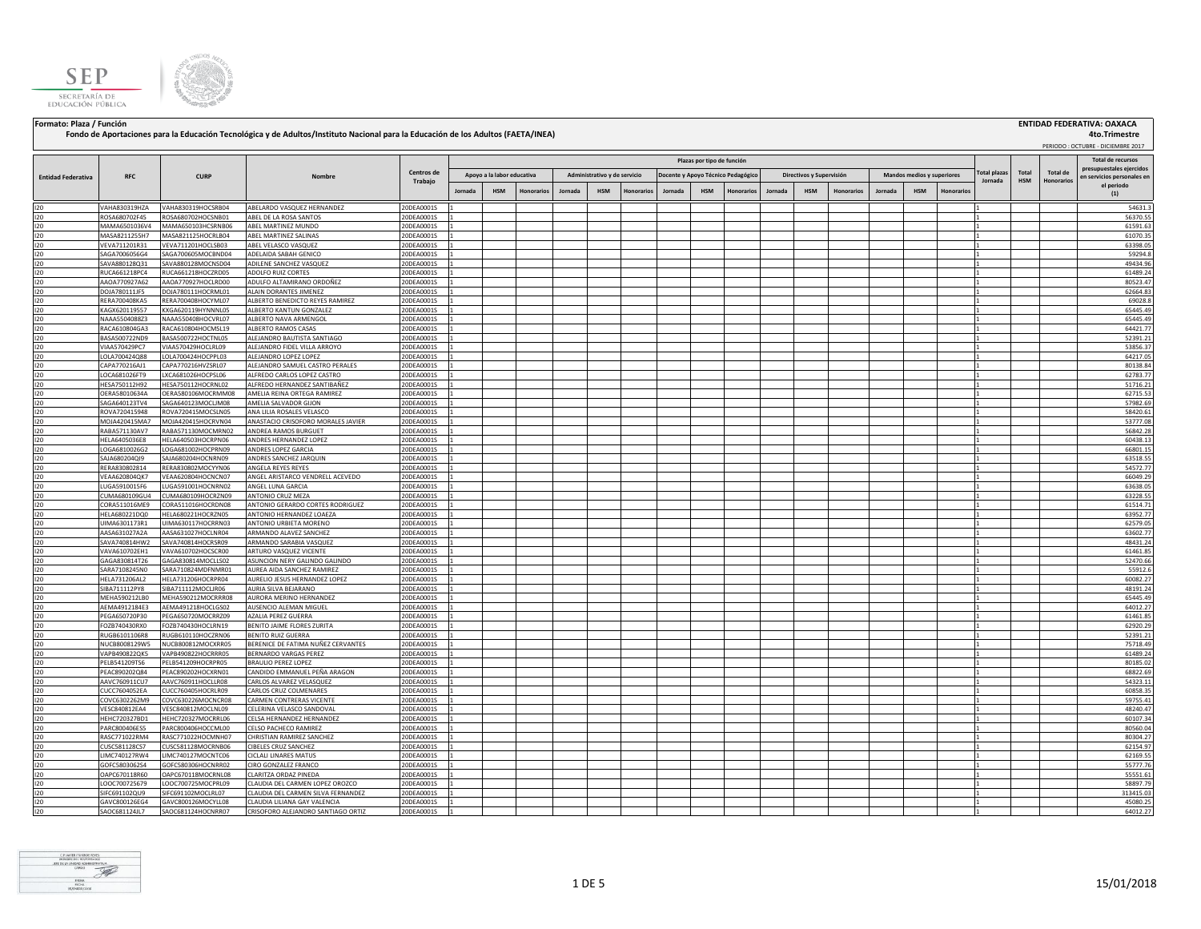



## Formato: Plaza / Función **ENTIDAD FEDERATIVA: OAXACA (2008) ENTIDAD FEDERATIVA: OAXACA**<br>Fondo de Aportaciones para la Educación Tecnológica y de Adultos/Instituto Nacional para la Educación de los Adultos (FAETA/INEA)

 **4to.Trimestre**

|                           |                                |                                          |                                                       |                          |                |                                |         |                              |           |         |                            |                                    |         |                          |                   |         |            |                            |                                |                     |                               | PERIODO: OCTUBRE - DICIEMBRE 2017 |
|---------------------------|--------------------------------|------------------------------------------|-------------------------------------------------------|--------------------------|----------------|--------------------------------|---------|------------------------------|-----------|---------|----------------------------|------------------------------------|---------|--------------------------|-------------------|---------|------------|----------------------------|--------------------------------|---------------------|-------------------------------|-----------------------------------|
|                           |                                |                                          |                                                       |                          |                |                                |         |                              |           |         | Plazas por tipo de función |                                    |         |                          |                   |         |            |                            |                                |                     |                               | Total de recurso:                 |
|                           |                                |                                          |                                                       | Centros de               |                |                                |         |                              |           |         |                            |                                    |         |                          |                   |         |            |                            |                                |                     |                               | presupuestales eiercidos          |
| <b>Entidad Federativa</b> | <b>RFC</b>                     | <b>CURP</b>                              | Nombre                                                | Trabaio                  |                | Apoyo a la labor educativa     |         | Administrativo y de servicio |           |         |                            | Docente y Apoyo Técnico Pedagógico |         | Directivos y Supervisión |                   |         |            | Mandos medios y superiores | <b>Total plazas</b><br>Jornada | Total<br><b>HSM</b> | <b>Total de</b><br>Honorarios | en servicios personales en        |
|                           |                                |                                          |                                                       |                          | <b>Jornada</b> | <b>HSM</b><br><b>Honorario</b> | Jornada | <b>HSM</b>                   | Honorario | Jornada | <b>HSM</b>                 | <b>Honorario</b>                   | Jornada | <b>HSM</b>               | <b>Honorarios</b> | Jornada | <b>HSM</b> | Honorarios                 |                                |                     |                               | el periodo<br>(1)                 |
|                           |                                |                                          |                                                       |                          |                |                                |         |                              |           |         |                            |                                    |         |                          |                   |         |            |                            |                                |                     |                               |                                   |
| 120                       | VAHA830319HZA                  | VAHA830319HOCSRB04                       | ABELARDO VASQUEZ HERNANDEZ                            | 20DEA0001S               |                |                                |         |                              |           |         |                            |                                    |         |                          |                   |         |            |                            |                                |                     |                               | 54631.3                           |
| 120                       | ROSA680702F45                  | ROSA680702HOCSNB01                       | ABEL DE LA ROSA SANTOS                                | 20DEA0001S               |                |                                |         |                              |           |         |                            |                                    |         |                          |                   |         |            |                            |                                |                     |                               | 56370.55                          |
| 120                       | MAMA6501036V4                  | MAMA650103HCSRNB06                       | ABEL MARTINEZ MUNDO                                   | 20DEA0001S               |                |                                |         |                              |           |         |                            |                                    |         |                          |                   |         |            |                            |                                |                     |                               | 61591.63                          |
| 120<br>120                | MASA8211255H7                  | MASA821125HOCRLB04                       | ABEL MARTINEZ SALINAS                                 | 20DEA0001S               |                |                                |         |                              |           |         |                            |                                    |         |                          |                   |         |            |                            |                                |                     |                               | 61070.35                          |
| 120                       | VEVA711201R31                  | VEVA711201HOCLSB03                       | ABEL VELASCO VASQUEZ                                  | 20DEA0001S               |                |                                |         |                              |           |         |                            |                                    |         |                          |                   |         |            |                            |                                |                     |                               | 63398.05<br>59294.8               |
| 120                       | SAGA7006056G4<br>SAVA880128Q31 | SAGA700605MOCBND04<br>SAVA880128MOCNSD04 | ADELAIDA SABAH GENICO<br>ADILENE SANCHEZ VASQUEZ      | 20DEA0001S<br>20DEA0001S |                |                                |         |                              |           |         |                            |                                    |         |                          |                   |         |            |                            |                                |                     |                               | 49434.96                          |
| 120                       | RUCA661218PC4                  | RUCA661218HOCZRD05                       | ADOLFO RUIZ CORTES                                    | 20DEA0001S               |                |                                |         |                              |           |         |                            |                                    |         |                          |                   |         |            |                            |                                |                     |                               | 61489.24                          |
| 120                       | AAOA770927A62                  | AAOA770927HOCLRD00                       | ADULFO ALTAMIRANO ORDOÑEZ                             | 20DEA0001S               |                |                                |         |                              |           |         |                            |                                    |         |                          |                   |         |            |                            |                                |                     |                               | 80523.47                          |
| 120                       | DOJA780111JF5                  | DOJA780111HOCRML01                       | ALAIN DORANTES JIMENEZ                                | 20DEA0001S               |                |                                |         |                              |           |         |                            |                                    |         |                          |                   |         |            |                            |                                |                     |                               | 62664.83                          |
| 120                       | RERA700408KA5                  | RERA700408HOCYML07                       | <b>LEBERTO BENEDICTO REYES RAMIREZ</b>                | 20DEA0001S               |                |                                |         |                              |           |         |                            |                                    |         |                          |                   |         |            |                            |                                |                     |                               | 69028.8                           |
| 120                       | KAGX620119557                  | KXGA620119HYNNNL05                       | ALBERTO KANTUN GONZALEZ                               | 20DEA0001S               |                |                                |         |                              |           |         |                            |                                    |         |                          |                   |         |            |                            |                                |                     |                               | 65445.49                          |
| 120                       | NAAA5504088Z3                  | NAAA550408HOCVRL07                       | ALBERTO NAVA ARMENGOL                                 | 20DEA0001S               |                |                                |         |                              |           |         |                            |                                    |         |                          |                   |         |            |                            |                                |                     |                               | 65445.49                          |
| 120                       | RACA610804GA3                  | RACA610804HOCMSL19                       | ALBERTO RAMOS CASAS                                   | 20DEA0001S               |                |                                |         |                              |           |         |                            |                                    |         |                          |                   |         |            |                            |                                |                     |                               | 64421.77                          |
| 120                       | BASA500722ND9                  | BASA500722HOCTNL05                       | ALEJANDRO BAUTISTA SANTIAGO                           | 20DEA0001S               |                |                                |         |                              |           |         |                            |                                    |         |                          |                   |         |            |                            |                                |                     |                               | 52391.21                          |
| 120                       | VIAA570429PC7                  | VIAA570429HOCLRL09                       | ALEJANDRO FIDEL VILLA ARROYO                          | 20DEA0001S               |                |                                |         |                              |           |         |                            |                                    |         |                          |                   |         |            |                            |                                |                     |                               | 53856.37                          |
| 120                       | LOLA700424Q88                  | LOLA700424HOCPPL03                       | ALEJANDRO LOPEZ LOPEZ                                 | 20DEA0001S               |                |                                |         |                              |           |         |                            |                                    |         |                          |                   |         |            |                            |                                |                     |                               | 64217.05                          |
| 120                       | CAPA770216AJ1                  | CAPA770216HVZSRL07                       | ALEJANDRO SAMUEL CASTRO PERALES                       | 20DEA0001S               |                |                                |         |                              |           |         |                            |                                    |         |                          |                   |         |            |                            |                                |                     |                               | 80138.84                          |
| 120                       | LOCA681026FT9                  | LXCA681026HOCPSL06                       | ALFREDO CARLOS LOPEZ CASTRO                           | 20DEA0001S               |                |                                |         |                              |           |         |                            |                                    |         |                          |                   |         |            |                            |                                |                     |                               | 62783.77                          |
| 120                       | HESA750112H92                  | HESA750112HOCRNL02                       | ALFREDO HERNANDEZ SANTIBAÑEZ                          | 20DEA0001S               |                |                                |         |                              |           |         |                            |                                    |         |                          |                   |         |            |                            |                                |                     |                               | 51716.21                          |
| 120                       | OERA58010634A                  | OERA580106MOCRMM08                       | AMELIA REINA ORTEGA RAMIREZ                           | 20DEA0001S               |                |                                |         |                              |           |         |                            |                                    |         |                          |                   |         |            |                            |                                |                     |                               | 62715.53                          |
| 120<br>120                | SAGA640123TV4<br>ROVA720415948 | SAGA640123MOCLIM08<br>ROVA720415MOCSLN05 | AMELIA SALVADOR GIJON<br>ANA LILIA ROSALES VELASCO    | 20DEA0001S<br>20DEA0001S |                |                                |         |                              |           |         |                            |                                    |         |                          |                   |         |            |                            |                                |                     |                               | 57982.69<br>58420.61              |
| 120                       | MOJA420415MA7                  | MOJA420415HOCRVN04                       | ANASTACIO CRISOFORO MORALES JAVIER                    | 20DEA0001S               |                |                                |         |                              |           |         |                            |                                    |         |                          |                   |         |            |                            |                                |                     |                               | 53777.08                          |
| 120                       | RABA571130AV7                  | RABA571130MOCMRN02                       | ANDREA RAMOS BURGUET                                  | 20DEA0001S               |                |                                |         |                              |           |         |                            |                                    |         |                          |                   |         |            |                            |                                |                     |                               | 56842.28                          |
| 120                       | HELA6405036E8                  | HELA640503HOCRPN06                       | ANDRES HERNANDEZ LOPEZ                                | 20DEA0001S               |                |                                |         |                              |           |         |                            |                                    |         |                          |                   |         |            |                            |                                |                     |                               | 60438.13                          |
| 120                       | LOGA6810026G2                  | LOGA681002HOCPRN09                       | ANDRES LOPEZ GARCIA                                   | 20DEA0001S               |                |                                |         |                              |           |         |                            |                                    |         |                          |                   |         |            |                            |                                |                     |                               | 66801.15                          |
| 120                       | SAJA680204QI9                  | SAJA680204HOCNRN09                       | ANDRES SANCHEZ JARQUIN                                | 20DEA0001S               |                |                                |         |                              |           |         |                            |                                    |         |                          |                   |         |            |                            |                                |                     |                               | 63518.55                          |
| 120                       | RERA830802814                  | RERA830802MOCYYN06                       | ANGELA REYES REYES                                    | 20DEA0001S               |                |                                |         |                              |           |         |                            |                                    |         |                          |                   |         |            |                            |                                |                     |                               | 54572.77                          |
| 120                       | VEAA620804QK7                  | VEAA620804HOCNCN07                       | ANGEL ARISTARCO VENDRELL ACEVEDO                      | 20DEA0001S               |                |                                |         |                              |           |         |                            |                                    |         |                          |                   |         |            |                            |                                |                     |                               | 66049.29                          |
| 120                       | LUGA5910015F6                  | UGA591001HOCNRN02                        | ANGEL LUNA GARCIA                                     | 20DEA0001S               |                |                                |         |                              |           |         |                            |                                    |         |                          |                   |         |            |                            |                                |                     |                               | 63638.05                          |
| 120                       | CUMA680109GU4                  | CUMA680109HOCRZN09                       | ANTONIO CRUZ MEZA                                     | 20DEA0001S               |                |                                |         |                              |           |         |                            |                                    |         |                          |                   |         |            |                            |                                |                     |                               | 63228.55                          |
| 120                       | CORA511016ME9                  | CORA511016HOCRDN08                       | ANTONIO GERARDO CORTES RODRIGUEZ                      | 20DEA0001S               |                |                                |         |                              |           |         |                            |                                    |         |                          |                   |         |            |                            |                                |                     |                               | 61514.71                          |
| 120                       | HELA680221DQ0                  | HELA680221HOCRZN05                       | ANTONIO HERNANDEZ LOAEZA                              | 20DEA0001S               |                |                                |         |                              |           |         |                            |                                    |         |                          |                   |         |            |                            |                                |                     |                               | 63952.77                          |
| 120                       | UIMA6301173R1                  | UIMA630117HOCRRN03                       | ANTONIO URBIETA MORENO                                | 20DEA0001S               |                |                                |         |                              |           |         |                            |                                    |         |                          |                   |         |            |                            |                                |                     |                               | 62579.05                          |
| 120                       | AASA631027A2A                  | AASA631027HOCLNR04                       | ARMANDO ALAVEZ SANCHEZ                                | 20DEA0001S               |                |                                |         |                              |           |         |                            |                                    |         |                          |                   |         |            |                            |                                |                     |                               | 63602.77                          |
| 120                       | SAVA740814HW2                  | SAVA740814HOCRSR09                       | ARMANDO SARABIA VASQUEZ                               | 20DEA0001S               |                |                                |         |                              |           |         |                            |                                    |         |                          |                   |         |            |                            |                                |                     |                               | 48431.24                          |
| 120                       | VAVA610702EH1                  | VAVA610702HOCSCR00                       | ARTURO VASQUEZ VICENTE                                | 20DEA0001S               |                |                                |         |                              |           |         |                            |                                    |         |                          |                   |         |            |                            |                                |                     |                               | 61461.85                          |
| 120                       | GAGA830814T26                  | GAGA830814MOCLLS02                       | ASUNCION NERY GALINDO GALINDO                         | 20DEA0001S               |                |                                |         |                              |           |         |                            |                                    |         |                          |                   |         |            |                            |                                |                     |                               | 52470.66                          |
| 120                       | SARA7108245N0                  | SARA710824MDFNMR01                       | AUREA AIDA SANCHEZ RAMIREZ                            | 20DEA0001S               |                |                                |         |                              |           |         |                            |                                    |         |                          |                   |         |            |                            |                                |                     |                               | 55912.6<br>60082.27               |
| 120<br>120                | HELA731206AL2<br>SIBA711112PY8 | HELA731206HOCRPR04<br>SIBA711112MOCLJR06 | AURELIO JESUS HERNANDEZ LOPEZ<br>AURIA SILVA BEJARANO | 20DEA0001S<br>20DEA0001S |                |                                |         |                              |           |         |                            |                                    |         |                          |                   |         |            |                            |                                |                     |                               | 48191.24                          |
| 120                       | MEHA590212LB0                  | MEHA590212MOCRRR08                       | AURORA MERINO HERNANDEZ                               | 20DEA0001S               |                |                                |         |                              |           |         |                            |                                    |         |                          |                   |         |            |                            |                                |                     |                               | 65445.49                          |
| 120                       | AEMA4912184E3                  | AEMA491218HOCLGS02                       | AUSENCIO ALEMAN MIGUEL                                | 20DEA0001S               |                |                                |         |                              |           |         |                            |                                    |         |                          |                   |         |            |                            |                                |                     |                               | 64012.27                          |
| 120                       | PEGA650720P30                  | PEGA650720MOCRRZ09                       | AZALIA PEREZ GUERRA                                   | 20DEA0001S               |                |                                |         |                              |           |         |                            |                                    |         |                          |                   |         |            |                            |                                |                     |                               | 61461.85                          |
| 120                       | FOZB740430RX0                  | FOZB740430HOCLRN19                       | BENITO JAIME FLORES ZURITA                            | 20DEA0001S               |                |                                |         |                              |           |         |                            |                                    |         |                          |                   |         |            |                            |                                |                     |                               | 62920.29                          |
| 120                       | RUGB6101106R8                  | RUGB610110HOCZRN06                       | <b>BENITO RUIZ GUERRA</b>                             | 20DEA0001S               |                |                                |         |                              |           |         |                            |                                    |         |                          |                   |         |            |                            |                                |                     |                               | 52391.21                          |
| 120                       | NUCB8008129W5                  | NUCB800812MOCXRR05                       | BERENICE DE FATIMA NUÑEZ CERVANTES                    | 20DEA0001S               |                |                                |         |                              |           |         |                            |                                    |         |                          |                   |         |            |                            |                                |                     |                               | 75718.49                          |
| 120                       | VAPB490822QK5                  | VAPB490822HOCRRR05                       | BERNARDO VARGAS PEREZ                                 | 20DEA0001S               |                |                                |         |                              |           |         |                            |                                    |         |                          |                   |         |            |                            |                                |                     |                               | 61489.24                          |
| 120                       | PELB541209TS6                  | PELB541209HOCRPR05                       | BRAULIO PEREZ LOPEZ                                   | 20DEA0001S               |                |                                |         |                              |           |         |                            |                                    |         |                          |                   |         |            |                            |                                |                     |                               | 80185.02                          |
| 120                       | PEAC890202Q84                  | PEAC890202HOCXRN01                       | CANDIDO EMMANUEL PEÑA ARAGON                          | 20DEA0001S               |                |                                |         |                              |           |         |                            |                                    |         |                          |                   |         |            |                            |                                |                     |                               | 68822.69                          |
| 120                       | AAVC760911CU7                  | AAVC760911HOCLLR08                       | ARLOS ALVAREZ VELASQUEZ                               | 20DEA0001S               |                |                                |         |                              |           |         |                            |                                    |         |                          |                   |         |            |                            |                                |                     |                               | 54323.11                          |
| 120                       | CUCC7604052EA                  | CUCC760405HOCRLR09                       | CARLOS CRUZ COLMENARES                                | 20DEA0001S               |                |                                |         |                              |           |         |                            |                                    |         |                          |                   |         |            |                            |                                |                     |                               | 60858.35                          |
| 120                       | COVC6302262M9                  | COVC630226MOCNCR08                       | CARMEN CONTRERAS VICENTE                              | 20DEA0001S               |                |                                |         |                              |           |         |                            |                                    |         |                          |                   |         |            |                            |                                |                     |                               | 59755.41                          |
| 120                       | VESC840812EA4                  | VESC840812MOCLNL09                       | CELERINA VELASCO SANDOVAL                             | 20DEA0001S               |                |                                |         |                              |           |         |                            |                                    |         |                          |                   |         |            |                            |                                |                     |                               | 48240.47                          |
| 120                       | HEHC720327BD1                  | HEHC720327MOCRRL06                       | CELSA HERNANDEZ HERNANDEZ                             | 20DEA0001S               |                |                                |         |                              |           |         |                            |                                    |         |                          |                   |         |            |                            |                                |                     |                               | 60107.34                          |
| 120                       | PARC800406ES5                  | PARC800406HOCCML00                       | CELSO PACHECO RAMIREZ                                 | 20DEA0001S               |                |                                |         |                              |           |         |                            |                                    |         |                          |                   |         |            |                            |                                |                     |                               | 80560.04                          |
| 120<br>120                | RASC771022RM4                  | RASC771022HOCMNH07<br>CUSC581128MOCRNB06 | CHRISTIAN RAMIREZ SANCHEZ                             | 20DEA0001S               |                |                                |         |                              |           |         |                            |                                    |         |                          |                   |         |            |                            |                                |                     |                               | 80304.27<br>62154.97              |
| 120                       | CUSC581128CS7                  | LIMC740127MOCNTC06                       | CIBELES CRUZ SANCHEZ<br>CICLALI LINARES MATUS         | 20DEA0001S<br>20DEA0001S |                |                                |         |                              |           |         |                            |                                    |         |                          |                   |         |            |                            |                                |                     |                               | 62169.55                          |
| 120                       | LIMC740127RW4<br>GOFC5803062S4 | GOFC580306HOCNRR02                       | CIRO GONZALEZ FRANCO                                  | 20DEA0001S               |                |                                |         |                              |           |         |                            |                                    |         |                          |                   |         |            |                            |                                |                     |                               | 55777.76                          |
| 120                       | OAPC670118R60                  | OAPC670118MOCRNL08                       | CLARITZA ORDAZ PINEDA                                 | 20DEA0001S               |                |                                |         |                              |           |         |                            |                                    |         |                          |                   |         |            |                            |                                |                     |                               | 55551.61                          |
| 120                       | LOOC700725679                  | LOOC700725MOCPRL09                       | CLAUDIA DEL CARMEN LOPEZ OROZCO                       | 20DEA0001S               |                |                                |         |                              |           |         |                            |                                    |         |                          |                   |         |            |                            |                                |                     |                               | 58897.79                          |
| 120                       | SIFC691102QU9                  | SIFC691102MOCLRL07                       | CLAUDIA DEL CARMEN SILVA FERNANDEZ                    | 20DEA0001S               |                |                                |         |                              |           |         |                            |                                    |         |                          |                   |         |            |                            |                                |                     |                               | 313415.03                         |
| 120                       | GAVC800126EG4                  | GAVC800126MOCYLL08                       | CLAUDIA LILIANA GAY VALENCIA                          | 20DEA0001S               |                |                                |         |                              |           |         |                            |                                    |         |                          |                   |         |            |                            |                                |                     |                               | 45080.25                          |
| 120                       | SAOC681124JL7                  | SAOC681124HOCNRR07                       | CRISOFORO ALEJANDRO SANTIAGO ORTIZ                    | 20DEA0001S               |                |                                |         |                              |           |         |                            |                                    |         |                          |                   |         |            |                            |                                |                     |                               | 64012.27                          |

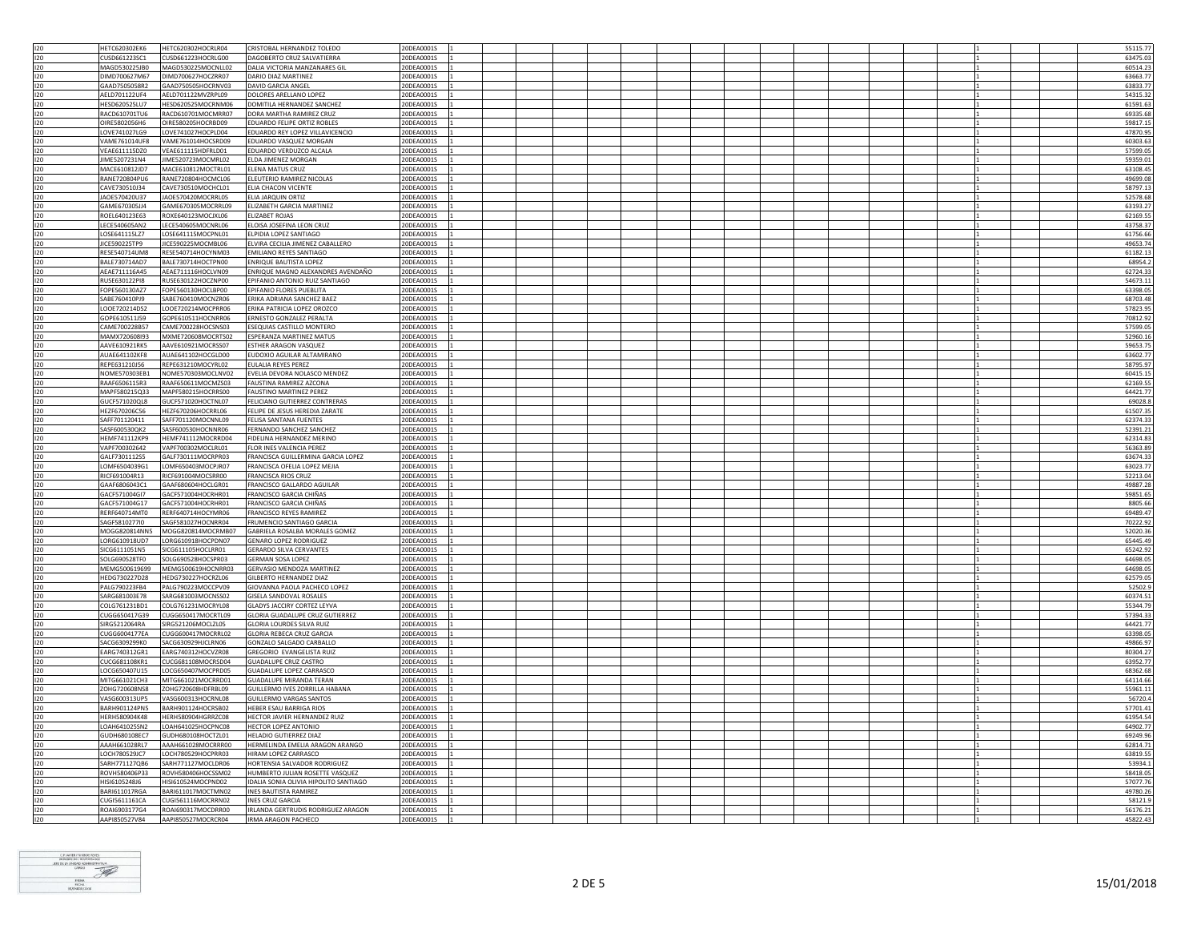| 120 | HETC620302EK6        | HETC620302HOCRLR04 | CRISTOBAL HERNANDEZ TOLEDO            | 20DEA0001S |  |  |  |  |  |  | 55115.77 |
|-----|----------------------|--------------------|---------------------------------------|------------|--|--|--|--|--|--|----------|
| 120 | CUSD661223SC1        | CUSD661223HOCRLG00 | DAGOBERTO CRUZ SALVATIERRA            | 20DEA0001S |  |  |  |  |  |  | 63475.0  |
| 120 | MAGD530225JB0        | MAGD530225MOCNLL02 | DALIA VICTORIA MANZANARES GIL         | 20DEA0001S |  |  |  |  |  |  | 60514.23 |
|     |                      |                    |                                       |            |  |  |  |  |  |  |          |
| 120 | DIMD700627M67        | DIMD700627HOC7RR07 | DARIO DIAZ MARTINEZ                   | 20DEA0001S |  |  |  |  |  |  | 63663.77 |
| 120 | GAAD7505058R2        | GAAD750505HOCRNV03 | DAVID GARCIA ANGEL                    | 20DEA0001S |  |  |  |  |  |  | 63833.77 |
| 120 | AELD701122UF4        | AELD701122MVZRPL09 | DOLORES ARELLANO LOPEZ                | 20DEA0001S |  |  |  |  |  |  | 54315.3  |
| 120 | <b>HESD620525LU7</b> | HESD620525MOCRNM06 | DOMITILA HERNANDEZ SANCHEZ            | 20DEA0001S |  |  |  |  |  |  | 61591.6  |
| 120 |                      |                    |                                       |            |  |  |  |  |  |  |          |
|     | RACD610701TU6        | RACD610701MOCMRR07 | DORA MARTHA RAMIREZ CRUZ              | 20DEA0001S |  |  |  |  |  |  | 69335.68 |
| 120 | OIRE5802056H6        | OIRE580205HOCRBD09 | EDUARDO FELIPE ORTIZ ROBLES           | 20DEA0001S |  |  |  |  |  |  | 59817.15 |
| 120 | LOVE741027LG9        | LOVE741027HOCPLD04 | EDUARDO REY LOPEZ VILLAVICENCIO       | 20DEA0001S |  |  |  |  |  |  | 47870.95 |
| 120 | VAME761014UF8        | VAME761014HOCSRD09 | EDUARDO VASQUEZ MORGAN                | 20DEA0001S |  |  |  |  |  |  | 60303.63 |
|     |                      |                    |                                       |            |  |  |  |  |  |  |          |
| 120 | VEAE611115DZ0        | VEAE611115HDFRLD01 | EDUARDO VERDUZCO ALCALA               | 20DEA0001S |  |  |  |  |  |  | 57599.0  |
| 120 | IIMF5207231N4        | IIME520723MOCMRL02 | <b>FLDA JIMENEZ MORGAN</b>            | 20DEA0001S |  |  |  |  |  |  | 59359.03 |
| 120 | MACE610812JD7        | MACE610812MOCTRL01 | ELENA MATUS CRUZ                      | 20DEA0001S |  |  |  |  |  |  | 63108.45 |
| 120 | RANE720804PU6        | RANE720804HOCMCL06 | FLEUTERIO RAMIREZ NICOLAS             | 20DEA0001S |  |  |  |  |  |  | 49699.0  |
|     |                      |                    |                                       |            |  |  |  |  |  |  |          |
| 120 | CAVE730510J34        | CAVE730510MOCHCL01 | ELIA CHACON VICENTE                   | 20DEA0001S |  |  |  |  |  |  | 58797.13 |
| 120 | JA0E570420U37        | JAOE570420MOCRRL05 | ELIA JARQUIN ORTIZ                    | 20DEA0001S |  |  |  |  |  |  | 52578.68 |
| 120 | GAME670305JJ4        | GAME670305MOCRRL09 | ELIZABETH GARCIA MARTINEZ             | 20DEA0001S |  |  |  |  |  |  | 63193.27 |
|     |                      |                    | <b>ELIZABET ROJAS</b>                 |            |  |  |  |  |  |  |          |
| 120 | ROEL640123E63        | ROXE640123MOCJXL06 |                                       | 20DEA0001S |  |  |  |  |  |  | 62169.5  |
| 120 | LECE540605AN2        | LECE540605MOCNRL06 | ELOISA JOSEFINA LEON CRUZ             | 20DEA0001S |  |  |  |  |  |  | 43758.37 |
| 120 | LOSE641115LZ7        | LOSE641115MOCPNL01 | ELPIDIA LOPEZ SANTIAGO                | 20DEA0001S |  |  |  |  |  |  | 61756.66 |
| 120 | JICE590225TP9        | JICE590225MOCMBL06 | ELVIRA CECILIA JIMENEZ CABALLERO      | 20DEA0001S |  |  |  |  |  |  | 49653.74 |
|     |                      |                    |                                       |            |  |  |  |  |  |  |          |
| 120 | RESE540714UM8        | RESE540714HOCYNM03 | <b>EMILIANO REYES SANTIAGO</b>        | 20DEA0001S |  |  |  |  |  |  | 61182.1  |
| 120 | BALE730714AD7        | BALE730714HOCTPN00 | <b>ENRIQUE BAUTISTA LOPEZ</b>         | 20DEA0001S |  |  |  |  |  |  | 68954.   |
| 120 | AEAE711116A45        | AEAE711116HOCLVN09 | ENRIQUE MAGNO ALEXANDRES AVENDAÑO     | 20DEA0001S |  |  |  |  |  |  | 62724.33 |
| 120 | <b>RUSE630122PIR</b> | RUSE630122HOCZNP00 | EPIFANIO ANTONIO RUIZ SANTIAGO        | 20DEA0001S |  |  |  |  |  |  | 54673.11 |
| 120 | FOPE560130AZ7        |                    |                                       | 20DEA0001S |  |  |  |  |  |  |          |
|     |                      | FOPE560130HOCLBP00 | EPIFANIO FLORES PUEBLITA              |            |  |  |  |  |  |  | 63398.05 |
| 120 | SABE760410PJ9        | SABE760410MOCNZR06 | <b>FRIKA ADRIANA SANCHEZ BAEZ</b>     | 20DEA0001S |  |  |  |  |  |  | 68703.48 |
| 120 | LOOE720214DS2        | LOOE720214MOCPRR06 | ERIKA PATRICIA LOPEZ OROZCO           | 20DEA0001S |  |  |  |  |  |  | 57823.95 |
| 120 | GOPE610511J59        | GOPE610511HOCNRR06 | ERNESTO GONZALEZ PERALTA              | 20DEA0001S |  |  |  |  |  |  | 70812.92 |
|     |                      |                    |                                       |            |  |  |  |  |  |  |          |
| 120 | CAME700228B57        | CAME700228HOCSNS03 | ESEQUIAS CASTILLO MONTERO             | 20DEA0001S |  |  |  |  |  |  | 57599.0  |
| 120 | MAMX720608I93        | MXME720608MOCRTS02 | ESPERANZA MARTINEZ MATUS              | 20DEA0001S |  |  |  |  |  |  | 52960.1  |
| 120 | AAVE610921RK5        | AAVE610921MOCRSS07 | ESTHER ARAGON VASQUEZ                 | 20DEA0001S |  |  |  |  |  |  | 59653.75 |
| 120 |                      | AUAE641102HOCGLD00 |                                       | 20DEA0001S |  |  |  |  |  |  |          |
|     | AUAE641102KF8        |                    | EUDOXIO AGUILAR ALTAMIRANO            |            |  |  |  |  |  |  | 63602.77 |
| 120 | RFPF631210J56        | REPE631210MOCYRL02 | FULAUA REYES PEREZ                    | 20DEA0001S |  |  |  |  |  |  | 58795.9  |
| 120 | NOME570303EB1        | NOME570303MOCLNV02 | EVELIA DEVORA NOLASCO MENDEZ          | 20DEA0001S |  |  |  |  |  |  | 60415.1  |
| 120 | RAAF6506115R3        | RAAF650611MOCMZS03 | FAUSTINA RAMIREZ AZCONA               | 20DEA0001S |  |  |  |  |  |  | 62169.55 |
| 120 | MAPF580215Q33        | MAPF580215HOCRRS00 | <b>FAUSTINO MARTINEZ PEREZ</b>        | 20DEA0001S |  |  |  |  |  |  | 64421.77 |
|     |                      |                    |                                       |            |  |  |  |  |  |  |          |
| 120 | GUCE5710200L8        | GUCF571020HOCTNL07 | FFLICIANO GUTIFRREZ CONTRERAS         | 20DEA0001S |  |  |  |  |  |  | 69028.8  |
| 120 | HEZF670206C56        | HEZF670206HOCRRL06 | FELIPE DE JESUS HEREDIA ZARATE        | 20DEA0001S |  |  |  |  |  |  | 61507.35 |
| 120 | SAFF701120411        | SAFF701120MOCNNL09 | FELISA SANTANA FUENTES                | 20DEA0001S |  |  |  |  |  |  | 62374.33 |
|     |                      |                    |                                       |            |  |  |  |  |  |  |          |
| 120 | SASF600530QK2        | SASF600530HOCNNR06 | FERNANDO SANCHEZ SANCHEZ              | 20DEA0001S |  |  |  |  |  |  | 52391.2  |
| 120 | HEMF741112KP9        | HEMF741112MOCRRD04 | FIDELINA HERNANDEZ MERINO             | 20DEA0001S |  |  |  |  |  |  | 62314.8  |
| 120 | VAPF700302642        | VAPF700302MOCLRL01 | FLOR INES VALENCIA PEREZ              | 20DEA0001S |  |  |  |  |  |  | 56363.89 |
| 120 | GALF7301112S5        | GALF730111MOCRPR03 | FRANCISCA GUILLERMINA GARCIA LOPEZ    | 20DEA0001S |  |  |  |  |  |  | 63674.3  |
|     |                      |                    |                                       |            |  |  |  |  |  |  |          |
| 120 | LOMF6504039G1        | LOMF650403MOCPJR07 | FRANCISCA OFELIA LOPEZ MEJIA          | 20DEA0001S |  |  |  |  |  |  | 63023.7  |
| 120 | RICF691004R13        | RICF691004MOCSRR00 | <b>FRANCISCA RIOS CRUZ</b>            | 20DEA0001S |  |  |  |  |  |  | 52213.04 |
| 120 | GAAF6806043C1        | GAAF680604HOCLGR01 | <b>FRANCISCO GALLARDO AGUILAR</b>     | 20DEA0001S |  |  |  |  |  |  | 49887.28 |
| 120 | GACF571004GI7        | GACF571004HOCRHR01 | FRANCISCO GARCIA CHIÑAS               | 20DEA0001S |  |  |  |  |  |  | 59851.65 |
|     |                      |                    |                                       |            |  |  |  |  |  |  |          |
| 120 | GACF571004G17        | GACF571004HOCRHR01 | FRANCISCO GARCIA CHIÑAS               | 20DEA0001S |  |  |  |  |  |  | 8805.66  |
| 120 | RERF640714MT0        | RERF640714HOCYMR06 | FRANCISCO REYES RAMIREZ               | 20DEA0001S |  |  |  |  |  |  | 69489.47 |
| 120 | SAGE5810277I0        | SAGF581027HOCNRR04 | FRUMENCIO SANTIAGO GARCIA             | 20DEA0001S |  |  |  |  |  |  | 70222.92 |
| 120 | MOGG820814NN5        | MOGG820814MOCRMB07 | GABRIELA ROSALBA MORALES GOMEZ        | 20DEA0001S |  |  |  |  |  |  | 52020.36 |
|     |                      |                    |                                       |            |  |  |  |  |  |  |          |
| 120 | LORG610918UD7        | LORG610918HOCPDN07 | <b>GENARO LOPEZ RODRIGUEZ</b>         | 20DEA0001S |  |  |  |  |  |  | 65445.49 |
| 120 | SICG6111051N5        | SICG611105HOCLRR01 | <b>GERARDO SILVA CERVANTES</b>        | 20DEA0001S |  |  |  |  |  |  | 65242.92 |
| 120 | SOLG690528TF0        | SOLG690528HOCSPR03 | GERMAN SOSA LOPEZ                     | 20DEA0001S |  |  |  |  |  |  | 64698.05 |
| 120 | MEMG500619699        | MEMG500619HOCNRR03 | <b>GERVASIO MENDOZA MARTINEZ</b>      | 20DEA0001S |  |  |  |  |  |  | 64698.05 |
|     |                      |                    |                                       |            |  |  |  |  |  |  |          |
| 120 | HEDG730227D28        | HEDG730227HOCRZL06 | GILBERTO HERNANDEZ DIAZ               | 20DEA0001S |  |  |  |  |  |  | 62579.0  |
| 120 | PAI G790223FB4       | PALG790223MOCCPV09 | GIOVANNA PAOLA PACHECO LOPEZ          | 20DEA0001S |  |  |  |  |  |  | 52502.   |
| 120 | SARG681003E78        | SARG681003MOCNSS02 | <b>GISELA SANDOVAL ROSALES</b>        | 20DEA0001S |  |  |  |  |  |  | 60374.5  |
| 120 | COLG761231BD1        | COLG761231MOCRYL08 | <b>GLADYS JACCIRY CORTEZ LEYVA</b>    | 20DEA0001S |  |  |  |  |  |  | 55344.7  |
|     |                      |                    |                                       |            |  |  |  |  |  |  |          |
| 120 | CUGG650417G39        | CUGG650417MOCRTL09 | GLORIA GUADALUPE CRUZ GUTIERREZ       | 20DEA0001S |  |  |  |  |  |  | 57394.33 |
| 120 | SIRG5212064RA        | SIRG521206MOCLZL05 | <b>GLORIA LOURDES SILVA RUIZ</b>      | 20DEA0001S |  |  |  |  |  |  | 64421.7  |
| 120 | CUGG6004177EA        | CUGG600417MOCRRL02 | <b>GLORIA REBECA CRUZ GARCIA</b>      | 20DEA0001S |  |  |  |  |  |  | 63398.05 |
| 120 | SACG6309299K0        | SACG630929HJCLRN06 | GONZALO SALGADO CARBALLO              | 20DEA0001S |  |  |  |  |  |  | 49866.97 |
| 120 | EARG740312GR1        | EARG740312HOCVZR08 | GREGORIO EVANGELISTA RUIZ             | 20DEA0001S |  |  |  |  |  |  | 80304.27 |
|     |                      |                    |                                       |            |  |  |  |  |  |  |          |
| 120 | CUCG681108KR1        | CUCG681108MOCRSD04 | GUADALUPE CRUZ CASTRO                 | 20DEA0001S |  |  |  |  |  |  | 63952.7  |
| 120 | LOCG650407U15        | LOCG650407MOCPRD05 | <b>GUADALUPE LOPEZ CARRASCO</b>       | 20DEA0001S |  |  |  |  |  |  | 68362.6  |
| 120 | MITG661021CH3        | MITG661021MOCRRD01 | <b>GUADALUPE MIRANDA TERAN</b>        | 20DEA0001S |  |  |  |  |  |  | 64114.66 |
| 120 |                      | ZOHG720608HDFRBL09 | GUILLERMO IVES ZORRILLA HABANA        | 20DEA0001S |  |  |  |  |  |  | 55961.1  |
|     | ZOHG720608NS8        |                    |                                       |            |  |  |  |  |  |  |          |
| 120 | VASG600313UP5        | VASG600313HOCRNL08 | <b>GUILLERMO VARGAS SANTOS</b>        | 20DEA0001S |  |  |  |  |  |  | 56720.4  |
| 120 | BARH901124PN5        | BARH901124HOCRSB02 | HEBER ESAU BARRIGA RIOS               | 20DEA0001S |  |  |  |  |  |  | 57701.4  |
| 120 | <b>HERH580904K48</b> | HERH580904HGRRZC08 | HECTOR JAVIER HERNANDEZ RUIZ          | 20DEA0001S |  |  |  |  |  |  | 61954.54 |
|     |                      |                    |                                       |            |  |  |  |  |  |  |          |
| 120 | LOAH641025SN2        | LOAH641025HOCPNC08 | HECTOR LOPEZ ANTONIO                  | 20DEA0001S |  |  |  |  |  |  | 64902.7  |
| 120 | GUDH680108EC7        | GUDH680108HOCTZL01 | HELADIO GUTIERREZ DIAZ                | 20DEA0001S |  |  |  |  |  |  | 69249.96 |
| 120 | AAAH661028RL7        | AAAH661028MOCRRR00 | HERMELINDA EMELIA ARAGON ARANGO       | 20DEA0001S |  |  |  |  |  |  | 62814.7  |
| 120 | LOCH780529JC7        |                    | HIRAM LOPEZ CARRASCO                  | 20DEA0001S |  |  |  |  |  |  | 63819.5  |
|     |                      | LOCH780529HOCPRR03 |                                       |            |  |  |  |  |  |  |          |
| 120 | SARH771127QB6        | SARH771127MOCLDR06 | HORTENSIA SALVADOR RODRIGUEZ          | 20DEA0001S |  |  |  |  |  |  | 53934.   |
| 120 | ROVH580406P33        | ROVH580406HOCSSM02 | HUMBERTO JULIAN ROSETTE VASQUEZ       | 20DEA0001S |  |  |  |  |  |  | 58418.05 |
| 120 | HISI6105248J6        | HISI610524MOCPND02 | IDALIA SONIA OLIVIA HIPOLITO SANTIAGO | 20DEA00019 |  |  |  |  |  |  | 57077.76 |
| 120 | <b>BARI611017RGA</b> | BARI611017MOCTMN02 | INFS BAUTISTA RAMIREZ                 | 20DEA0001S |  |  |  |  |  |  | 49780.26 |
|     |                      |                    |                                       |            |  |  |  |  |  |  |          |
| 120 | CUGI5611161CA        | CUGI561116MOCRRN02 | <b>INES CRUZ GARCIA</b>               | 20DEA0001S |  |  |  |  |  |  | 58121.9  |
| 120 | ROAI6903177G4        | ROAI690317MOCDRR00 | IRLANDA GERTRUDIS RODRIGUEZ ARAGON    | 20DEA0001S |  |  |  |  |  |  | 56176.21 |
| 120 | AAPI850527V84        | AAPI850527MOCRCR04 | <b>IRMA ARAGON PACHECO</b>            | 20DEA0001S |  |  |  |  |  |  | 45822.43 |

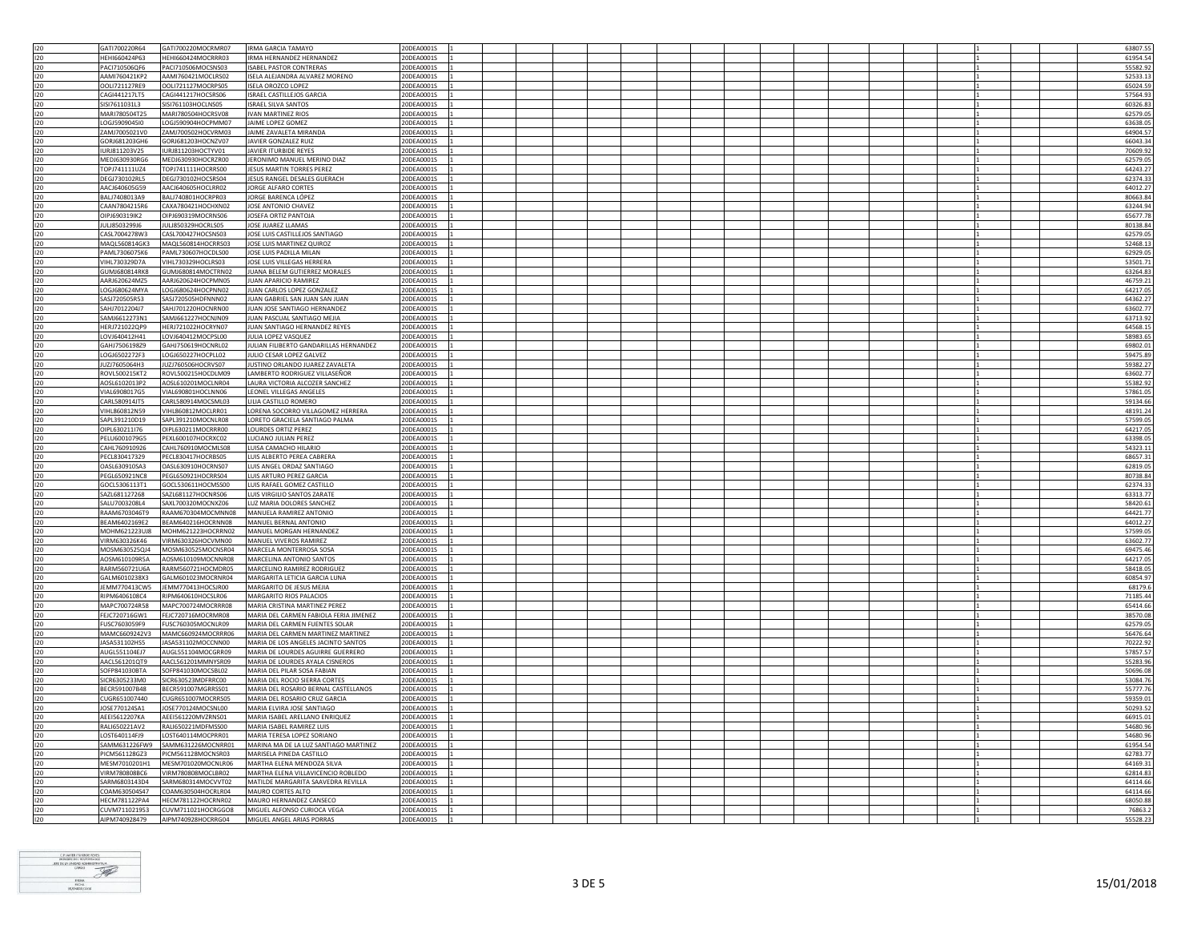| 120        | GATI700220R64                  | GATI700220MOCRMR07                       | <b>IRMA GARCIA TAMAYO</b>                                | 20DEA0001S               |  |  |  |  |  |  | 63807.55            |
|------------|--------------------------------|------------------------------------------|----------------------------------------------------------|--------------------------|--|--|--|--|--|--|---------------------|
| 120        | HEHI660424P63                  | HEHI660424MOCRRR03                       | IRMA HERNANDEZ HERNANDEZ                                 | 20DEA0001S               |  |  |  |  |  |  | 61954.54            |
| 120        | PACI710506QF6                  | PACI710506MOCSNS03                       | <b>ISABEL PASTOR CONTRERAS</b>                           | 20DEA0001S               |  |  |  |  |  |  | 55582.92            |
|            |                                |                                          |                                                          |                          |  |  |  |  |  |  |                     |
| 120        | AAMI760421KP2                  | AAMI760421MOCLRS02                       | ISELA ALEJANDRA ALVAREZ MORENO                           | 20DEA0001S               |  |  |  |  |  |  | 52533.13            |
| 120        | OOLI721127RE9                  | OOLI721127MOCRPS05                       | <b>ISELA OROZCO LOPEZ</b>                                | 20DEA0001S               |  |  |  |  |  |  | 65024.59            |
| 120        | CAGI441217LT5                  | CAGI441217HOCSRS06                       | <b>ISRAEL CASTILLEJOS GARCIA</b>                         | 20DEA0001S               |  |  |  |  |  |  | 57564.93            |
| 120        | SISI7611031L3                  | SISI761103HOCLNS05                       | <b>ISRAEL SILVA SANTOS</b>                               | 20DEA0001S               |  |  |  |  |  |  | 60326.83            |
|            |                                |                                          |                                                          |                          |  |  |  |  |  |  |                     |
| 120        | MARI780504T25                  | MARI780504HOCRSV08                       | <b>IVAN MARTINEZ RIOS</b>                                | 20DEA0001S               |  |  |  |  |  |  | 62579.05            |
| 120        | LOGJ5909045I0                  | LOGJ590904HOCPMM07                       | JAIME LOPEZ GOMEZ                                        | 20DEA0001S               |  |  |  |  |  |  | 63638.05            |
|            |                                |                                          | JAIME ZAVALETA MIRANDA                                   |                          |  |  |  |  |  |  |                     |
| 120        | ZAMJ7005021V0                  | ZAMJ700502HOCVRM03                       |                                                          | 20DEA0001S               |  |  |  |  |  |  | 64904.57            |
| 120        | GORJ681203GH6                  | GORJ681203HOCNZV07                       | JAVIER GONZALEZ RUIZ                                     | 20DEA0001S               |  |  |  |  |  |  | 66043.34            |
| 120        | IURJ811203V25                  | IURJ811203HOCTYV01                       | JAVIER ITURBIDE REYES                                    | 20DEA0001S               |  |  |  |  |  |  | 70609.92            |
| 120        | MEDJ630930RG6                  | MEDJ630930HOCRZR00                       | JERONIMO MANUEL MERINO DIAZ                              | 20DEA0001S               |  |  |  |  |  |  | 62579.05            |
|            |                                |                                          |                                                          |                          |  |  |  |  |  |  |                     |
| 120        | TOPJ741111UZ4                  | TOPJ741111HOCRRS00                       | JESUS MARTIN TORRES PEREZ                                | 20DEA0001S               |  |  |  |  |  |  | 64243.27            |
| 120        | DEGJ730102RL5                  | DEGJ730102HOCSRS04                       | JESUS RANGEL DESALES GUERACH                             | 20DEA0001S               |  |  |  |  |  |  | 62374.33            |
| 120        | AACJ640605G59                  | AACJ640605HOCLRR02                       | JORGE ALFARO CORTES                                      | 20DEA0001S               |  |  |  |  |  |  | 64012.27            |
|            |                                |                                          |                                                          |                          |  |  |  |  |  |  |                     |
| 120        | BAI 17408013A9                 | BALJ740801HOCRPR03                       | <b>IORGE BARENCA LÓPEZ</b>                               | 20DEA0001S               |  |  |  |  |  |  | 80663.84            |
| 120        | CAAN7804215R6                  | CAXA780421HOCHXN02                       | JOSE ANTONIO CHAVEZ                                      | 20DEA0001S               |  |  |  |  |  |  | 63244.94            |
| 120        | OIPJ690319IK2                  | OIPJ690319MOCRNS06                       | JOSEFA ORTIZ PANTOJA                                     | 20DEA0001S               |  |  |  |  |  |  | 65677.78            |
|            |                                |                                          |                                                          |                          |  |  |  |  |  |  |                     |
| 120        | JULJ8503299J6                  | JULJ850329HOCRLS05                       | JOSE JUAREZ LLAMAS                                       | 20DEA0001S               |  |  |  |  |  |  | 80138.84            |
| 120        | CASL7004278W3                  | CASL700427HOCSNS03                       | JOSE LUIS CASTILLEJOS SANTIAGO                           | 20DEA0001S               |  |  |  |  |  |  | 62579.05            |
| 120        | MAOL560814GK3                  | MAQL560814HOCRRS03                       | JOSE LUIS MARTINEZ QUIROZ                                | 20DEA0001S               |  |  |  |  |  |  | 52468.13            |
| 120        |                                |                                          |                                                          |                          |  |  |  |  |  |  |                     |
|            | PAML7306075K6                  | PAML730607HOCDLS00                       | JOSE LUIS PADILLA MILAN                                  | 20DEA0001S               |  |  |  |  |  |  | 62929.05            |
| 120        | VIHL730329D7A                  | VIHL730329HOCLRS03                       | JOSE LUIS VILLEGAS HERRERA                               | 20DEA0001S               |  |  |  |  |  |  | 53501.71            |
| 120        | GUMJ680814RK8                  | GUMJ680814MOCTRN02                       | JUANA BELEM GUTIERREZ MORALES                            | 20DEA0001S               |  |  |  |  |  |  | 63264.83            |
| 120        | AARJ620624MZ5                  | AARJ620624HOCPMN05                       | JUAN APARICIO RAMIREZ                                    | 20DEA0001S               |  |  |  |  |  |  | 46759.23            |
|            |                                |                                          |                                                          |                          |  |  |  |  |  |  |                     |
| 120        | LOGJ680624MYA                  | LOGJ680624HOCPNN02                       | JUAN CARLOS LOPEZ GONZALEZ                               | 20DEA0001S               |  |  |  |  |  |  | 64217.05            |
| 120        | SASI720505R53                  | SASI720505HDENNN02                       | <b>IUAN GABRIEL SAN IUAN SAN IUAN</b>                    | 20DEA0001S               |  |  |  |  |  |  | 64362.27            |
| 120        | SAHJ7012204J7                  | SAHJ701220HOCNRN00                       | JUAN JOSE SANTIAGO HERNANDEZ                             | 20DEA0001S               |  |  |  |  |  |  | 63602.77            |
|            |                                |                                          |                                                          |                          |  |  |  |  |  |  |                     |
| 120        | SAMI6612273N1                  | SAM1661227HOCNIN09                       | <b>IUAN PASCUAL SANTIAGO MEIIA</b>                       | 20DEA0001S               |  |  |  |  |  |  | 63713.92            |
| 120        | HERJ721022QP9                  | HERJ721022HOCRYN07                       | JUAN SANTIAGO HERNANDEZ REYES                            | 20DEA0001S               |  |  |  |  |  |  | 64568.15            |
| 120        | LOVJ640412H41                  | LOVJ640412MOCPSL00                       | JULIA LOPEZ VASQUEZ                                      | 20DEA0001S               |  |  |  |  |  |  | 58983.65            |
|            |                                |                                          |                                                          |                          |  |  |  |  |  |  |                     |
| 120        | GAHJ7506198Z9                  | GAHJ750619HOCNRL02                       | JULIAN FILIBERTO GANDARILLAS HERNANDEZ                   | 20DEA0001S               |  |  |  |  |  |  | 69802.01            |
| 120        | LOGJ6502272F3                  | LOGJ650227HOCPLL02                       | JULIO CESAR LOPEZ GALVEZ                                 | 20DEA0001S               |  |  |  |  |  |  | 59475.89            |
| 120        | JUZJ7605064H3                  | JUZJ760506HOCRVS07                       | JUSTINO ORLANDO JUAREZ ZAVALETA                          | 20DEA0001S               |  |  |  |  |  |  | 59382.27            |
|            |                                |                                          |                                                          |                          |  |  |  |  |  |  |                     |
| 120        | ROVL500215KT2                  | ROVL500215HOCDLM09                       | LAMBERTO RODRIGUEZ VILLASEÑOR                            | 20DEA0001S               |  |  |  |  |  |  | 63602.7             |
| 120        | AOSL6102013P2                  | AOSL610201MOCLNR04                       | LAURA VICTORIA ALCOZER SANCHEZ                           | 20DEA0001S               |  |  |  |  |  |  | 55382.92            |
| 120        | VIAL6908017G5                  | VIAL690801HOCLNN06                       | LEONEL VILLEGAS ANGELES                                  | 20DEA0001S               |  |  |  |  |  |  | 57861.05            |
|            |                                |                                          |                                                          |                          |  |  |  |  |  |  |                     |
| 120        | CARL580914JT5                  | CARL580914MOCSML03                       | LILIA CASTILLO ROMERO                                    | 20DEA0001S               |  |  |  |  |  |  | 59134.66            |
| 120        | VIHL860812N59                  | VIHL860812MOCLRR01                       | LORENA SOCORRO VILLAGOMEZ HERRERA                        | 20DEA0001S               |  |  |  |  |  |  | 48191.24            |
| 120        | SAPL391210D19                  | SAPL391210MOCNLR08                       | LORETO GRACIELA SANTIAGO PALMA                           | 20DEA0001S               |  |  |  |  |  |  | 57599.05            |
|            |                                |                                          |                                                          |                          |  |  |  |  |  |  |                     |
| 120        | OIPL630211I76                  | OIPL630211MOCRRR00                       | <b>LOURDES ORTIZ PEREZ</b>                               | 20DEA0001S               |  |  |  |  |  |  | 64217.05            |
|            |                                |                                          |                                                          |                          |  |  |  |  |  |  |                     |
| 120        |                                |                                          |                                                          |                          |  |  |  |  |  |  |                     |
|            | PELU6001079G5                  | PEXL600107HOCRXC02                       | LUCIANO JULIAN PEREZ                                     | 20DEA0001S               |  |  |  |  |  |  | 63398.05            |
| 120        | CAHL760910926                  | CAHL760910MOCMLS08                       | LUISA CAMACHO HILARIO                                    | 20DEA0001S               |  |  |  |  |  |  | 54323.13            |
| 120        | PECL830417329                  | PECL830417HOCRBS05                       | LUIS ALBERTO PEREA CABRERA                               | 20DEA0001S               |  |  |  |  |  |  | 68657.3             |
| 120        |                                |                                          | LUIS ANGEL ORDAZ SANTIAGO                                |                          |  |  |  |  |  |  |                     |
|            | OASL630910SA3                  | OASL630910HOCRNS07                       |                                                          | 20DEA0001S               |  |  |  |  |  |  | 62819.05            |
| 120        | PEGL650921NC8                  | PEGL650921HOCRRS04                       | LUIS ARTURO PEREZ GARCIA                                 | 20DEA0001S               |  |  |  |  |  |  | 80738.84            |
| 120        | GOCL5306113T1                  | GOCL530611HOCMSS00                       | LUIS RAFAEL GOMEZ CASTILLO                               | 20DEA0001S               |  |  |  |  |  |  | 62374.33            |
| 120        | SAZL681127268                  | SAZL681127HOCNRS06                       | LUIS VIRGILIO SANTOS ZARATE                              | 20DEA0001S               |  |  |  |  |  |  | 63313.77            |
|            |                                |                                          |                                                          |                          |  |  |  |  |  |  |                     |
| 120        | SALU7003208L4                  | SAXL700320MOCNXZ06                       | <b>LUZ MARIA DOLORES SANCHEZ</b>                         | 20DEA0001S               |  |  |  |  |  |  | 58420.61            |
| 120        | RAAM6703046T9                  | RAAM670304MOCMNN08                       | MANUELA RAMIREZ ANTONIO                                  | 20DEA0001S               |  |  |  |  |  |  | 64421.77            |
| 120        | BFAM6402169F2                  | BEAM640216HOCRNN08                       | MANUEL BERNAL ANTONIO                                    | 20DEA0001S               |  |  |  |  |  |  | 64012.27            |
|            |                                |                                          |                                                          |                          |  |  |  |  |  |  |                     |
| 120        | MOHM621223UJ8                  | MOHM621223HOCRRN02                       | MANUEL MORGAN HERNANDEZ                                  | 20DEA0001S               |  |  |  |  |  |  | 57599.05            |
| 120        | VIRM630326K46                  | VIRM630326HOCVMN00                       | MANUEL VIVEROS RAMIREZ                                   | 20DEA0001S               |  |  |  |  |  |  | 63602.7             |
| 120        | MOSM630525QJ4                  | MOSM630525MOCNSR04                       | MARCELA MONTERROSA SOSA                                  | 20DEA0001S               |  |  |  |  |  |  | 69475.46            |
|            |                                |                                          |                                                          |                          |  |  |  |  |  |  |                     |
| 120        | AOSM610109R5A                  | AOSM610109MOCNNR08                       | MARCELINA ANTONIO SANTOS                                 | 20DEA0001S               |  |  |  |  |  |  | 64217.05            |
| 120        | RARM560721U6A                  | RARM560721HOCMDR05                       | MARCELINO RAMIREZ RODRIGUEZ                              | 20DEA0001S               |  |  |  |  |  |  | 58418.05            |
| 120        | GALM6010238X3                  | GALM601023MOCRNR04                       | MARGARITA LETICIA GARCIA LUNA                            | 20DEA0001S               |  |  |  |  |  |  | 60854.97            |
| 120        | <b>IFMM770413CW5</b>           | IFMM770413HOCSIR00                       | MARGARITO DE IESUS MEIIA                                 | 20DEA0001S               |  |  |  |  |  |  | 68179.6             |
|            |                                |                                          |                                                          |                          |  |  |  |  |  |  |                     |
| 120        | RIPM6406108C4                  | RIPM640610HOCSLR06                       | MARGARITO RIOS PALACIOS                                  | 20DEA0001S               |  |  |  |  |  |  | 71185.44            |
| 120        | MAPC700724R58                  | MAPC700724MOCRRR08                       | MARIA CRISTINA MARTINEZ PEREZ                            | 20DEA0001S               |  |  |  |  |  |  | 65414.66            |
| 120        | FEJC720716GW1                  | FEJC720716MOCRMR08                       | MARIA DEL CARMEN FABIOLA FERIA JIMENEZ                   | 20DEA0001S               |  |  |  |  |  |  | 38570.08            |
|            |                                |                                          |                                                          |                          |  |  |  |  |  |  |                     |
| 120        | FUSC7603059F9                  | FUSC760305MOCNLR09                       | MARIA DEL CARMEN FUENTES SOLAR                           | 20DEA0001S               |  |  |  |  |  |  | 62579.0             |
| 120        | MAMC6609242V3                  | MAMC660924MOCRRR06                       | MARIA DEL CARMEN MARTINEZ MARTINEZ                       | 20DEA0001S               |  |  |  |  |  |  | 56476.64            |
| 120        | JASA531102HS5                  | JASA531102MOCCNN00                       | MARIA DE LOS ANGELES JACINTO SANTOS                      | 20DEA0001S               |  |  |  |  |  |  | 70222.92            |
|            |                                |                                          |                                                          |                          |  |  |  |  |  |  |                     |
| 120        | AUGL551104EJ7                  | AUGL551104MOCGRR09                       | MARIA DE LOURDES AGUIRRE GUERRERO                        | 20DEA0001S               |  |  |  |  |  |  | 57857.57            |
| 120        | AACL561201QT9                  | AACL561201MMNYSR09                       | MARIA DE LOURDES AYALA CISNEROS                          | 20DEA0001S               |  |  |  |  |  |  | 55283.96            |
| 120        | SOFP841030BTA                  | SOFP841030MOCSBL02                       | MARIA DEL PILAR SOSA FABIAN                              | 20DEA0001S               |  |  |  |  |  |  | 50696.08            |
|            |                                |                                          |                                                          |                          |  |  |  |  |  |  |                     |
| 120        | SICR6305233M0                  | SICR630523MDFRRC00                       | MARIA DEL ROCIO SIERRA CORTES                            | 20DEA0001S               |  |  |  |  |  |  | 53084.76            |
| 120        | BECR591007B48                  | BECR591007MGRRSS01                       | MARIA DEL ROSARIO BERNAL CASTELLANOS                     | 20DEA0001S               |  |  |  |  |  |  | 55777.76            |
| 120        | CUGR651007440                  | CUGR651007MOCRRS05                       | MARIA DEL ROSARIO CRUZ GARCIA                            | 20DEA0001S               |  |  |  |  |  |  | 59359.01            |
| 120        | JOSE770124SA1                  | IOSE770124MOCSNL00                       | MARIA FLVIRA IOSE SANTIAGO                               | 20DEA0001S               |  |  |  |  |  |  | 50293.52            |
|            |                                |                                          |                                                          |                          |  |  |  |  |  |  |                     |
| 120        | AEEI5612207KA                  | AEEI561220MVZRNS01                       | MARIA ISABEL ARELLANO ENRIQUEZ                           | 20DEA0001S               |  |  |  |  |  |  | 66915.01            |
| 120        | RALI650221AV2                  | RALI650221MDFMSS00                       | MARIA ISABEL RAMIREZ LUIS                                | 20DEA0001S               |  |  |  |  |  |  | 54680.96            |
| 120        | LOST640114FJ9                  | LOST640114MOCPRR01                       | MARIA TERESA LOPEZ SORIANO                               | 20DEA0001S               |  |  |  |  |  |  | 54680.96            |
|            |                                |                                          |                                                          |                          |  |  |  |  |  |  |                     |
| 120        | SAMM631226FW9                  | SAMM631226MOCNRR01                       | MARINA MA DE LA LUZ SANTIAGO MARTINEZ                    | 20DEA0001S               |  |  |  |  |  |  | 61954.54            |
| 120        | PICM561128GZ3                  | PICM561128MOCNSR03                       | MARISELA PINEDA CASTILLO                                 | 20DEA0001S               |  |  |  |  |  |  | 62783.77            |
| 120        | MESM7010201H1                  | MESM701020MOCNLR06                       | MARTHA ELENA MENDOZA SILVA                               | 20DEA0001S               |  |  |  |  |  |  | 64169.3             |
|            |                                |                                          |                                                          |                          |  |  |  |  |  |  |                     |
| 120        | VIRM780808BC6                  | VIRM780808MOCLBR02                       | MARTHA ELENA VILLAVICENCIO ROBLEDO                       | 20DEA0001S               |  |  |  |  |  |  | 62814.83            |
| 120        | SARM6803143D4                  | SARM680314MOCVVT02                       | MATILDE MARGARITA SAAVEDRA REVILLA                       | 20DEA00019               |  |  |  |  |  |  | 64114.66            |
| 120        | COAM630504S47                  | COAM630504HOCRLR04                       | MAURO CORTES ALTO                                        | 20DEA0001S               |  |  |  |  |  |  | 64114.66            |
| 120        | HECM781122PA4                  | HECM781122HOCRNR02                       |                                                          | 20DEA0001S               |  |  |  |  |  |  | 68050.88            |
|            |                                |                                          | MAURO HERNANDEZ CANSECO                                  |                          |  |  |  |  |  |  |                     |
| 120<br>120 | CUVM711021953<br>AIPM740928479 | CUVM711021HOCRGGO8<br>AIPM740928HOCRRG04 | MIGUEL ALFONSO CURIOCA VEGA<br>MIGUEL ANGEL ARIAS PORRAS | 20DEA0001S<br>20DEA0001S |  |  |  |  |  |  | 76863.2<br>55528.23 |

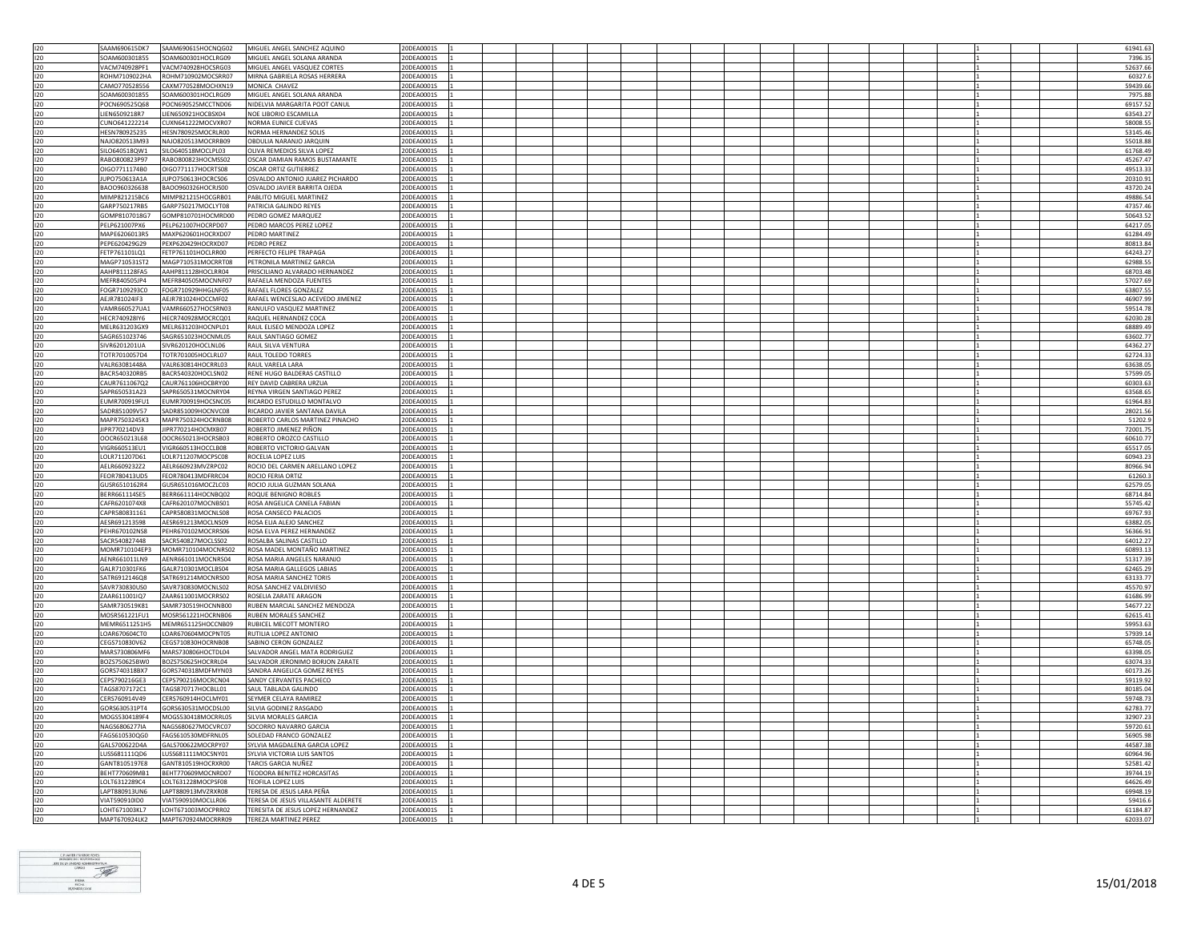|            | SAAM690615DK7                  | SAAM690615HOCNOG02                       | MIGUEL ANGEL SANCHEZ AOUINO                                | 20DEA0001S               |  |  |  |  |  |  |                      |
|------------|--------------------------------|------------------------------------------|------------------------------------------------------------|--------------------------|--|--|--|--|--|--|----------------------|
| 120        |                                |                                          |                                                            |                          |  |  |  |  |  |  | 61941.63             |
| 120        | SOAM600301855                  | SOAM600301HOCLRG09                       | MIGUEL ANGEL SOLANA ARANDA                                 | 20DEA0001S               |  |  |  |  |  |  | 7396.35              |
| 120        | VACM740928PF1                  | VACM740928HOCSRG03                       | MIGUEL ANGEL VASQUEZ CORTES                                | 20DEA0001S               |  |  |  |  |  |  | 52637.66             |
| 120        | ROHM7109022HA                  | ROHM710902MOCSRR07                       | MIRNA GABRIELA ROSAS HERRERA                               | 20DEA0001S               |  |  |  |  |  |  | 60327.6              |
|            |                                |                                          |                                                            |                          |  |  |  |  |  |  |                      |
| 120        | CAMO770528556                  | CAXM770528MOCHXN19                       | MONICA CHAVEZ                                              | 20DEA0001S               |  |  |  |  |  |  | 59439.66             |
| 120        | SOAM600301855                  | SOAM600301HOCLRG09                       | MIGUEL ANGEL SOLANA ARANDA                                 | 20DEA0001S               |  |  |  |  |  |  | 7975.88              |
| 120        | POCN690525Q68                  | POCN690525MCCTND06                       | NIDELVIA MARGARITA POOT CANUL                              | 20DEA0001S               |  |  |  |  |  |  | 69157.52             |
|            |                                |                                          |                                                            |                          |  |  |  |  |  |  |                      |
| 120        | LIEN6509218R7                  | LIEN650921HOCBSX04                       | NOE LIBORIO ESCAMILLA                                      | 20DEA0001S               |  |  |  |  |  |  | 63543.27             |
| 120        | CUNO641222214                  | CUXN641222MOCVXR07                       | NORMA EUNICE CUEVAS                                        | 20DEA00019               |  |  |  |  |  |  | 58008.55             |
| 120        | HFSN780925235                  | HESN780925MOCRLR00                       | NORMA HERNANDEZ SOLIS                                      | 20DEA0001S               |  |  |  |  |  |  | 53145.46             |
| 120        | NAJ0820513M93                  | NAJO820513MOCRRB09                       | OBDULIA NARANJO JARQUIN                                    | 20DEA0001S               |  |  |  |  |  |  |                      |
|            |                                |                                          |                                                            |                          |  |  |  |  |  |  | 55018.88             |
| 120        | SILO640518OW1                  | SILO640518MOCLPL03                       | OLIVA REMEDIOS SILVA LOPEZ                                 | 20DEA0001S               |  |  |  |  |  |  | 61768.49             |
| 120        | RABO800823P97                  | RABO800823HOCMSS02                       | OSCAR DAMIAN RAMOS BUSTAMANTE                              | 20DEA0001S               |  |  |  |  |  |  | 45267.47             |
| 120        | OIGO7711174B0                  | OIGO771117HOCRTS08                       | OSCAR ORTIZ GUTIERREZ                                      | 20DEA0001S               |  |  |  |  |  |  |                      |
|            |                                |                                          |                                                            |                          |  |  |  |  |  |  | 49513.33             |
| 120        | JUPO750613A1A                  | JUPO750613HOCRCS06                       | OSVALDO ANTONIO JUAREZ PICHARDO                            | 20DEA0001S               |  |  |  |  |  |  | 20310.91             |
| 120        | BAOO960326638                  | BAOO960326HOCRJS00                       | OSVALDO JAVIER BARRITA OJEDA                               | 20DEA0001S               |  |  |  |  |  |  | 43720.24             |
| 120        | MIMP821215BC6                  | MIMP821215HOCGRB01                       | PABLITO MIGUEL MARTINEZ                                    | 20DEA0001S               |  |  |  |  |  |  | 49886.54             |
|            |                                |                                          |                                                            |                          |  |  |  |  |  |  |                      |
| 120        | GARP750217RB5                  | GARP750217MOCLYT08                       | PATRICIA GALINDO REYES                                     | 20DEA0001S               |  |  |  |  |  |  | 47357.46             |
| 120        | GOMP8107018G7                  | GOMP810701HOCMRD00                       | PEDRO GOMEZ MARQUEZ                                        | 20DEA0001S               |  |  |  |  |  |  | 50643.52             |
| 120        | PELP621007PX6                  | PELP621007HOCRPD07                       | PEDRO MARCOS PEREZ LOPEZ                                   | 20DEA0001S               |  |  |  |  |  |  | 64217.05             |
| 120        | MAPE6206013R5                  | MAXP620601HOCRXD07                       | PEDRO MARTINEZ                                             | 20DEA0001S               |  |  |  |  |  |  | 61284.49             |
|            |                                |                                          |                                                            |                          |  |  |  |  |  |  |                      |
| 120        | PEPE620429G29                  | PEXP620429HOCRXD07                       | PEDRO PEREZ                                                | 20DEA0001S               |  |  |  |  |  |  | 80813.84             |
| 120        | FETP761101LQ1                  | FETP761101HOCLRR00                       | PERFECTO FELIPE TRAPAGA                                    | 20DEA0001S               |  |  |  |  |  |  | 64243.27             |
| 120        | MAGP710531ST2                  | MAGP710531MOCRRT08                       | PETRONILA MARTINEZ GARCIA                                  | 20DEA0001S               |  |  |  |  |  |  | 62988.55             |
|            |                                |                                          |                                                            |                          |  |  |  |  |  |  |                      |
| 120        | AAHP811128FA5                  | AAHP811128HOCLRR04                       | PRISCILIANO ALVARADO HERNANDEZ                             | 20DEA0001S               |  |  |  |  |  |  | 68703.48             |
| 120        | MEFR840505JP4                  | MEFR840505MOCNNF07                       | RAFAELA MENDOZA FUENTES                                    | 20DEA0001S               |  |  |  |  |  |  | 57027.69             |
| 120        | FOGR7109293C0                  | FOGR710929HHGLNF05                       | RAFAEL FLORES GONZALEZ                                     | 20DEA0001S               |  |  |  |  |  |  | 63807.55             |
|            |                                |                                          |                                                            |                          |  |  |  |  |  |  |                      |
| 120        | AEJR781024IF3                  | AEJR781024HOCCMF02                       | RAFAEL WENCESLAO ACEVEDO JIMENEZ                           | 20DEA0001S               |  |  |  |  |  |  | 46907.99             |
| 120        | VAMR660527UA1                  | VAMR660527HOCSRN03                       | RANULFO VASQUEZ MARTINEZ                                   | 20DEA0001S               |  |  |  |  |  |  | 59514.78             |
| 120        | HECR740928IY6                  | HECR740928MOCRCQ01                       | RAQUEL HERNANDEZ COCA                                      | 20DEA0001S               |  |  |  |  |  |  | 62030.28             |
|            |                                |                                          |                                                            |                          |  |  |  |  |  |  |                      |
| 120        | MELR631203GX9                  | MELR631203HOCNPL01                       | RAUL ELISEO MENDOZA LOPEZ                                  | 20DEA0001S               |  |  |  |  |  |  | 68889.49             |
| 120        | SAGR651023746                  | SAGR651023HOCNML05                       | <b>RAUL SANTIAGO GOMEZ</b>                                 | 20DEA0001S               |  |  |  |  |  |  | 63602.77             |
| 120        | SIVR6201201UA                  | SIVR620120HOCLNL06                       | RAUL SILVA VENTURA                                         | 20DEA0001S               |  |  |  |  |  |  | 64362.27             |
|            |                                |                                          |                                                            |                          |  |  |  |  |  |  |                      |
| 120        | TOTR7010057D4                  | TOTR701005HOCLRL07                       | RAUL TOLEDO TORRES                                         | 20DEA0001S               |  |  |  |  |  |  | 62724.33             |
| 120        | VALR63081448A                  | VALR630814HOCRRL03                       | RAUL VARELA LARA                                           | 20DEA0001S               |  |  |  |  |  |  | 63638.05             |
| 120        | BACR540320RB5                  | BACR540320HOCLSN02                       | RENE HUGO BALDERAS CASTILLO                                | 20DEA0001S               |  |  |  |  |  |  | 57599.0              |
|            |                                |                                          |                                                            |                          |  |  |  |  |  |  |                      |
| 120        | CAUR7611067Q2                  | CAUR761106HOCBRY00                       | REY DAVID CABRERA URZUA                                    | 20DEA0001S               |  |  |  |  |  |  | 60303.63             |
| 120        | SAPR650531A23                  | SAPR650531MOCNRY04                       | REYNA VIRGEN SANTIAGO PEREZ                                | 20DEA0001S               |  |  |  |  |  |  | 63568.65             |
| 120        | EUMR700919FU1                  | EUMR700919HOCSNC05                       | RICARDO ESTUDILLO MONTALVO                                 | 20DEA0001S               |  |  |  |  |  |  | 61964.83             |
|            |                                |                                          |                                                            |                          |  |  |  |  |  |  |                      |
| 120        | SADR851009V57                  | SADR851009HOCNVC08                       | RICARDO JAVIER SANTANA DAVILA                              | 20DEA00019               |  |  |  |  |  |  | 28021.56             |
| 120        | MAPR7503245K3                  | MAPR750324HOCRNB08                       | ROBERTO CARLOS MARTINEZ PINACHO                            | 20DEA0001S               |  |  |  |  |  |  | 51202.9              |
| 120        | JIPR770214DV3                  | JIPR770214HOCMXB07                       | ROBERTO JIMENEZ PIÑON                                      | 20DEA0001S               |  |  |  |  |  |  | 72001.75             |
|            |                                |                                          |                                                            |                          |  |  |  |  |  |  |                      |
| 120        | OOCR650213L68                  | OOCR650213HOCRSB03                       | ROBERTO OROZCO CASTILLO                                    | 20DEA0001S               |  |  |  |  |  |  | 60610.77             |
| 120        | VIGR660513EU1                  | VIGR660513HOCCLB08                       | ROBERTO VICTORIO GALVAN                                    | 20DEA0001S               |  |  |  |  |  |  | 65517.05             |
| 120        | LOLR711207D61                  | LOLR711207MOCPSC08                       | ROCELIA LOPEZ LUIS                                         | 20DEA0001S               |  |  |  |  |  |  | 60943.23             |
|            |                                |                                          |                                                            |                          |  |  |  |  |  |  |                      |
| 120        | AELR6609232Z2                  | AELR660923MVZRPC02                       | ROCIO DEL CARMEN ARELLANO LOPEZ                            | 20DEA0001S               |  |  |  |  |  |  | 80966.94             |
| 120        | FEOR780413UD5                  | FEOR780413MDFRRC04                       | ROCIO FERIA ORTIZ                                          | 20DEA0001S               |  |  |  |  |  |  | 61260.3              |
| 120        | GUSR6510162R4                  | GUSR651016MOCZLC03                       | ROCIO JULIA GUZMAN SOLANA                                  | 20DEA0001S               |  |  |  |  |  |  | 62579.05             |
|            |                                |                                          |                                                            |                          |  |  |  |  |  |  |                      |
| 120        | BERR661114SE5                  | BERR661114HOCNBQ02                       | ROQUE BENIGNO ROBLES                                       | 20DEA0001S               |  |  |  |  |  |  | 68714.84             |
| 120        | CAFR6201074X8                  | CAFR620107MOCNBS01                       | ROSA ANGELICA CANELA FABIAN                                | 20DEA0001S               |  |  |  |  |  |  | 55745.42             |
| 120        | CAPR580831161                  | CAPR580831MOCNLS08                       | ROSA CANSECO PALACIOS                                      | 20DEA0001S               |  |  |  |  |  |  | 69767.93             |
|            |                                |                                          |                                                            |                          |  |  |  |  |  |  |                      |
| 120        | AESR691213598                  | AESR691213MOCLNS09                       | ROSA ELIA ALEJO SANCHEZ                                    | 20DEA0001S               |  |  |  |  |  |  | 63882.05             |
| 120        | PEHR670102NS8                  | PEHR670102MOCRRS06                       | ROSA ELVA PEREZ HERNANDEZ                                  | 20DEA0001S               |  |  |  |  |  |  | 56366.91             |
| 120        | SACR540827448                  | SACR540827MOCLSS02                       | ROSALBA SALINAS CASTILLO                                   | 20DEA0001S               |  |  |  |  |  |  | 64012.27             |
|            |                                |                                          |                                                            |                          |  |  |  |  |  |  |                      |
| 120        | MOMR710104EP3                  | MOMR710104MOCNRS02                       | ROSA MADEL MONTAÑO MARTINEZ                                | 20DEA0001S               |  |  |  |  |  |  | 60893.13             |
| 120        | AENR661011LN9                  | AENR661011MOCNRS04                       | ROSA MARIA ANGELES NARANJO                                 | 20DEA0001S               |  |  |  |  |  |  | 51317.39             |
| 120        | GALR710301FK6                  | GALR710301MOCLBS04                       | ROSA MARIA GALLEGOS LABIAS                                 | 20DEA0001S               |  |  |  |  |  |  | 62465.29             |
|            |                                |                                          |                                                            |                          |  |  |  |  |  |  |                      |
| 120        | SATR6912146Q8                  | SATR691214MOCNRS00                       | ROSA MARIA SANCHEZ TORIS                                   | 20DEA0001S               |  |  |  |  |  |  | 63133.77             |
| 120        | SAVR730830US0                  | SAVR730830MOCNLS02                       | ROSA SANCHEZ VALDIVIESO                                    | 20DEA0001S               |  |  |  |  |  |  | 45570.97             |
| 120        | ZAAR611001IQ7                  | ZAAR611001MOCRRS02                       | ROSELIA ZARATE ARAGON                                      | 20DEA0001S               |  |  |  |  |  |  | 61686.99             |
| 120        | SAMR730519K81                  | SAMR730519HOCNNB00                       | RUBEN MARCIAL SANCHEZ MENDOZA                              | 20DEA0001S               |  |  |  |  |  |  | 54677.22             |
|            |                                |                                          |                                                            |                          |  |  |  |  |  |  |                      |
| 120        | MOSR561221FU1                  | MOSR561221HOCRNB06                       | RUBEN MORALES SANCHEZ                                      | 20DEA0001S               |  |  |  |  |  |  | 62615.41             |
| 120        | MFMR6511251H5                  | MEMR651125HOCCNB09                       | RUBICEL MECOTT MONTERO                                     | 20DEA0001S               |  |  |  |  |  |  | 59953.63             |
| 120        | LOAR670604CT0                  | LOAR670604MOCPNT05                       | RUTILIA LOPEZ ANTONIO                                      | 20DEA0001S               |  |  |  |  |  |  | 57939.14             |
|            |                                |                                          |                                                            |                          |  |  |  |  |  |  |                      |
| 120        | CEGS710830V62                  | CEGS710830HOCRNB08                       | SABINO CERON GONZALEZ                                      | 20DEA0001S               |  |  |  |  |  |  | 65748.05             |
| 120        | MARS730806MF6                  | MARS730806HOCTDL04                       | ALVADOR ANGEL MATA RODRIGUEZ                               | 20DEA0001S               |  |  |  |  |  |  | 63398.05             |
| 120        | BOZS750625BW0                  | BOZS750625HOCRRL04                       | SALVADOR JERONIMO BORJON ZARATE                            | 20DEA0001S               |  |  |  |  |  |  | 63074.33             |
|            |                                |                                          |                                                            |                          |  |  |  |  |  |  |                      |
| 120        | GORS740318BX7                  | GORS740318MDFMYN03                       | SANDRA ANGELICA GOMEZ REYES                                | 20DEA0001S               |  |  |  |  |  |  | 60173.26             |
| 120        | CEPS790216GE3                  | CEPS790216MOCRCN04                       | SANDY CERVANTES PACHECO                                    | 20DEA0001S               |  |  |  |  |  |  | 59119.92             |
| 120        | TAGS8707172C1                  | TAGS870717HOCBLL01                       | SAUL TABLADA GALINDO                                       | 20DEA0001S               |  |  |  |  |  |  | 80185.04             |
|            |                                |                                          |                                                            |                          |  |  |  |  |  |  |                      |
| 120        | CERS760914V49                  | CERS760914HOCLMY01                       | SEYMER CELAYA RAMIREZ                                      | 20DEA00019               |  |  |  |  |  |  | 59748.73             |
| 120        | GORS630531PT4                  | GORS630531MOCDSL00                       | SILVIA GODINEZ RASGADO                                     | 20DEA0001S               |  |  |  |  |  |  | 62783.77             |
| 120        | MOGS5304189F4                  | MOGS530418MOCRRL05                       | SILVIA MORALES GARCIA                                      | 20DEA0001S               |  |  |  |  |  |  | 32907.23             |
|            |                                |                                          |                                                            |                          |  |  |  |  |  |  |                      |
| 120        | NAGS6806277IA                  | NAGS680627MOCVRC07                       | SOCORRO NAVARRO GARCIA                                     | 20DEA0001S               |  |  |  |  |  |  | 59720.61             |
| 120        | FAGS610530QG0                  | FAGS610530MDFRNL05                       | SOLEDAD FRANCO GONZALEZ                                    | 20DEA0001S               |  |  |  |  |  |  | 56905.98             |
| 120        |                                | GALS700622MOCRPY07                       | SYLVIA MAGDALENA GARCIA LOPEZ                              | 20DEA0001S               |  |  |  |  |  |  | 44587.38             |
|            |                                |                                          |                                                            |                          |  |  |  |  |  |  | 60964.96             |
|            | GALS700622D4A                  |                                          |                                                            | 20DEA0001S               |  |  |  |  |  |  |                      |
| 120        | LUSS681111QD6                  | LUSS681111MOCSNY01                       | SYLVIA VICTORIA LUIS SANTOS                                |                          |  |  |  |  |  |  |                      |
| 120        | GANT8105197E8                  | GANT810519HOCRXR00                       | TARCIS GARCIA NUÑEZ                                        | 20DEA0001S               |  |  |  |  |  |  | 52581.42             |
|            |                                |                                          |                                                            |                          |  |  |  |  |  |  |                      |
| 120        | BEHT770609MB1                  | BEHT770609MOCNRD07                       | <b>TEODORA BENITEZ HORCASITAS</b>                          | 20DEA0001S               |  |  |  |  |  |  | 39744.19             |
| 120        | LOLT6312289C4                  | LOLT631228MOCPSF08                       | TEOFILA LOPEZ LUIS                                         | 20DEA0001S               |  |  |  |  |  |  | 64626.49             |
| 120        | LAPT880913UN6                  | LAPT880913MV7RXR08                       | TERESA DE JESUS LARA PEÑA                                  | 20DEA0001S               |  |  |  |  |  |  | 69948.19             |
| 120        | VIAT590910ID0                  | VIAT590910MOCLLR06                       |                                                            | 20DEA0001S               |  |  |  |  |  |  |                      |
|            |                                |                                          | TERESA DE JESUS VILLASANTE ALDERETE                        |                          |  |  |  |  |  |  | 59416.6              |
| 120<br>120 | LOHT671003KL7<br>MAPT670924LK2 | LOHT671003MOCPRR02<br>MAPT670924MOCRRR09 | TERESITA DE JESUS LOPEZ HERNANDEZ<br>TEREZA MARTINEZ PEREZ | 20DEA0001S<br>20DEA0001S |  |  |  |  |  |  | 61184.87<br>62033.07 |